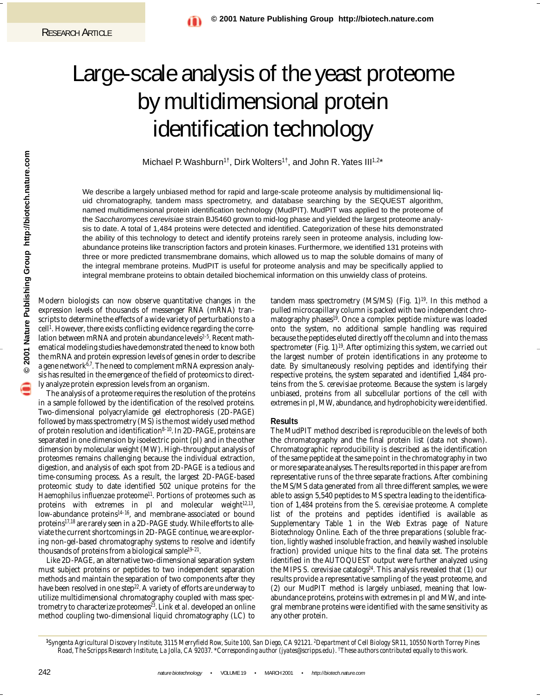# Large-scale analysis of the yeast proteome by multidimensional protein identification technology

Michael P. Washburn<sup>1†</sup>, Dirk Wolters<sup>1†</sup>, and John R. Yates III<sup>1,2\*</sup>

We describe a largely unbiased method for rapid and large-scale proteome analysis by multidimensional liquid chromatography, tandem mass spectrometry, and database searching by the SEQUEST algorithm, named multidimensional protein identification technology (MudPIT). MudPIT was applied to the proteome of the Saccharomyces cerevisiae strain BJ5460 grown to mid-log phase and yielded the largest proteome analysis to date. A total of 1,484 proteins were detected and identified. Categorization of these hits demonstrated the ability of this technology to detect and identify proteins rarely seen in proteome analysis, including lowabundance proteins like transcription factors and protein kinases. Furthermore, we identified 131 proteins with three or more predicted transmembrane domains, which allowed us to map the soluble domains of many of the integral membrane proteins. MudPIT is useful for proteome analysis and may be specifically applied to integral membrane proteins to obtain detailed biochemical information on this unwieldy class of proteins.

Nature Publishing Group http://biotech.nature.com **© 2001 Nature Publishing Group http://biotech.nature.com 2001** 

Modern biologists can now observe quantitative changes in the expression levels of thousands of messenger RNA (mRNA) transcripts to determine the effects of a wide variety of perturbations to a cell<sup>1</sup>. However, there exists conflicting evidence regarding the correlation between mRNA and protein abundance levels<sup>2-5</sup>. Recent mathematical modeling studies have demonstrated the need to know both the mRNA and protein expression levels of genes in order to describe a gene network<sup>6,7</sup>. The need to complement mRNA expression analysis has resulted in the emergence of the field of proteomics to directly analyze protein expression levels from an organism.

The analysis of a proteome requires the resolution of the proteins in a sample followed by the identification of the resolved proteins. Two-dimensional polyacrylamide gel electrophoresis (2D-PAGE) followed by mass spectrometry (MS) is the most widely used method of protein resolution and identification $8-10$ . In 2D-PAGE, proteins are separated in one dimension by isoelectric point (pI) and in the other dimension by molecular weight (MW). High-throughput analysis of proteomes remains challenging because the individual extraction, digestion, and analysis of each spot from 2D-PAGE is a tedious and time-consuming process. As a result, the largest 2D-PAGE-based proteomic study to date identified 502 unique proteins for the *Haemophilus influenzae* proteome<sup>11</sup>. Portions of proteomes such as proteins with extremes in  $pI$  and molecular weight $12,13$ , low-abundance proteins14–16, and membrane-associated or bound proteins<sup>17,18</sup> are rarely seen in a 2D-PAGE study. While efforts to alleviate the current shortcomings in 2D-PAGE continue, we are exploring non-gel-based chromatography systems to resolve and identify thousands of proteins from a biological sample<sup>19-21</sup>.

Like 2D-PAGE, an alternative two-dimensional separation system must subject proteins or peptides to two independent separation methods and maintain the separation of two components after they have been resolved in one step<sup>22</sup>. A variety of efforts are underway to utilize multidimensional chromatography coupled with mass spectrometry to characterize proteomes<sup>23</sup>. Link *et al.* developed an online method coupling two-dimensional liquid chromatography (LC) to

tandem mass spectrometry (MS/MS) (Fig.  $1$ )<sup>19</sup>. In this method a pulled microcapillary column is packed with two independent chromatography phases<sup>19</sup>. Once a complex peptide mixture was loaded onto the system, no additional sample handling was required because the peptides eluted directly off the column and into the mass spectrometer (Fig. 1)<sup>19</sup>. After optimizing this system, we carried out the largest number of protein identifications in any proteome to date. By simultaneously resolving peptides and identifying their respective proteins, the system separated and identified 1,484 proteins from the *S. cerevisiae* proteome. Because the system is largely unbiased, proteins from all subcellular portions of the cell with extremes in pI, MW, abundance, and hydrophobicity were identified.

#### **Results**

The MudPIT method described is reproducible on the levels of both the chromatography and the final protein list (data not shown). Chromatographic reproducibility is described as the identification of the same peptide at the same point in the chromatography in two or more separate analyses. The results reported in this paper are from representative runs of the three separate fractions. After combining the MS/MS data generated from all three different samples, we were able to assign 5,540 peptides to MS spectra leading to the identification of 1,484 proteins from the *S. cerevisiae* proteome. A complete list of the proteins and peptides identified is available as Supplementary Table 1 in the Web Extras page of *Nature Biotechnology* Online. Each of the three preparations (soluble fraction, lightly washed insoluble fraction, and heavily washed insoluble fraction) provided unique hits to the final data set. The proteins identified in the AUTOQUEST output were further analyzed using the MIPS *S. cerevisiae* catalogs<sup>24</sup>. This analysis revealed that (1) our results provide a representative sampling of the yeast proteome, and (2) our MudPIT method is largely unbiased, meaning that lowabundance proteins, proteins with extremes in pI and MW, and integral membrane proteins were identified with the same sensitivity as any other protein.

*<sup>1</sup>Syngenta Agricultural Discovery Institute, 3115 Merryfield Row, Suite 100, San Diego, CA 92121. 2Department of Cell Biology SR11, 10550 North Torrey Pines Road, The Scripps Research Institute, La Jolla, CA 92037. \*Corresponding author (jyates@scripps.edu). †These authors contributed equally to this work.*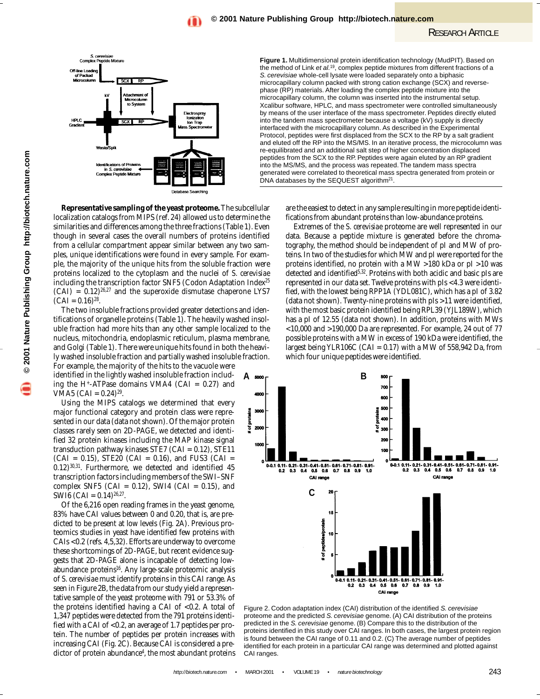

**Representative sampling of the yeast proteome.** The subcellular localization catalogs from MIPS (ref. 24) allowed us to determine the similarities and differences among the three fractions (Table 1). Even though in several cases the overall numbers of proteins identified from a cellular compartment appear similar between any two samples, unique identifications were found in every sample. For example, the majority of the unique hits from the soluble fraction were proteins localized to the cytoplasm and the nuclei of *S. cerevisiae* including the transcription factor SNF5 (Codon Adaptation Index<sup>25</sup>  $(CAI) = 0.12)^{26,27}$  and the superoxide dismutase chaperone LYS7  $(CAI = 0.16)^{28}$ .

The two insoluble fractions provided greater detections and identifications of organelle proteins (Table 1). The heavily washed insoluble fraction had more hits than any other sample localized to the nucleus, mitochondria, endoplasmic reticulum, plasma membrane, and Golgi (Table 1). There were unique hits found in both the heavily washed insoluble fraction and partially washed insoluble fraction. For example, the majority of the hits to the vacuole were

identified in the lightly washed insoluble fraction including the H<sup>+</sup>-ATPase domains VMA4 (CAI =  $0.27$ ) and VMA5 (CAI =  $0.24$ )<sup>29</sup>.

Using the MIPS catalogs we determined that every major functional category and protein class were represented in our data (data not shown). Of the major protein classes rarely seen on 2D-PAGE, we detected and identified 32 protein kinases including the MAP kinase signal transduction pathway kinases STE7 (CAI =  $0.12$ ), STE11  $(CAI = 0.15)$ , STE20  $(CAI = 0.16)$ , and FUS3  $(CAI = 0.15)$ 0.12)30,31. Furthermore, we detected and identified 45 transcription factors including members of the SWI–SNF complex SNF5 (CAI =  $0.12$ ), SWI4 (CAI =  $0.15$ ), and SWI6 (CAI =  $0.14$ )<sup>26,27</sup>.

Of the 6,216 open reading frames in the yeast genome, 83% have CAI values between 0 and 0.20, that is, are predicted to be present at low levels (Fig. 2A). Previous proteomics studies in yeast have identified few proteins with CAIs <0.2 (refs. 4,5,32). Efforts are underway to overcome these shortcomings of 2D-PAGE, but recent evidence suggests that 2D-PAGE alone is incapable of detecting lowabundance proteins16. Any large-scale proteomic analysis of *S. cerevisiae* must identify proteins in this CAI range. As seen in Figure 2B, the data from our study yield a representative sample of the yeast proteome with 791 or 53.3% of the proteins identified having a CAI of  $< 0.2$ . A total of 1,347 peptides were detected from the 791 proteins identified with a CAI of <0.2, an average of 1.7 peptides per protein. The number of peptides per protein increases with increasing CAI (Fig. 2C). Because CAI is considered a predictor of protein abundance<sup>4</sup>, the most abundant proteins

@ 2001 Nature Publishing Group http://biotech.nature.com **© 2001 Nature Publishing Group http://biotech.nature.com**

**Figure 1.** Multidimensional protein identification technology (MudPIT). Based on the method of Link et al.19, complex peptide mixtures from different fractions of a S. cerevisiae whole-cell lysate were loaded separately onto a biphasic microcapillary column packed with strong cation exchange (SCX) and reversephase (RP) materials. After loading the complex peptide mixture into the microcapillary column, the column was inserted into the instrumental setup. Xcalibur software, HPLC, and mass spectrometer were controlled simultaneously by means of the user interface of the mass spectrometer. Peptides directly eluted into the tandem mass spectrometer because a voltage (kV) supply is directly interfaced with the microcapillary column. As described in the Experimental Protocol, peptides were first displaced from the SCX to the RP by a salt gradient and eluted off the RP into the MS/MS. In an iterative process, the microcolumn was re-equilibrated and an additional salt step of higher concentration displaced peptides from the SCX to the RP. Peptides were again eluted by an RP gradient into the MS/MS, and the process was repeated. The tandem mass spectra generated were correlated to theoretical mass spectra generated from protein or DNA databases by the SEQUEST algorithm<sup>21</sup>.

> are the easiest to detect in any sample resulting in more peptide identifications from abundant proteins than low-abundance proteins.

> Extremes of the *S. cerevisiae* proteome are well represented in our data. Because a peptide mixture is generated before the chromatography, the method should be independent of pI and MW of proteins. In two of the studies for which MW and pI were reported for the proteins identified, no protein with a MW >180 kDa or pI >10 was  $\det$  detected and identified<sup>5,32</sup>. Proteins with both acidic and basic pIs are represented in our data set. Twelve proteins with pIs <4.3 were identified, with the lowest being RPP1A (YDL081C), which has a pI of 3.82 (data not shown). Twenty-nine proteins with pIs >11 were identified, with the most basic protein identified being RPL39 (YJL189W), which has a pI of 12.55 (data not shown). In addition, proteins with MWs <10,000 and >190,000 Da are represented. For example, 24 out of 77 possible proteins with a MW in excess of 190 kDa were identified, the largest being YLR106C (CAI =  $0.17$ ) with a MW of 558,942 Da, from which four unique peptides were identified.



Figure 2. Codon adaptation index (CAI) distribution of the identified S. cerevisiae proteome and the predicted S. cerevisiae genome. (A) CAI distribution of the proteins predicted in the S. cerevisiae genome. (B) Compare this to the distribution of the proteins identified in this study over CAI ranges. In both cases, the largest protein region is found between the CAI range of 0.11 and 0.2. (C) The average number of peptides identified for each protein in a particular CAI range was determined and plotted against CAI ranges.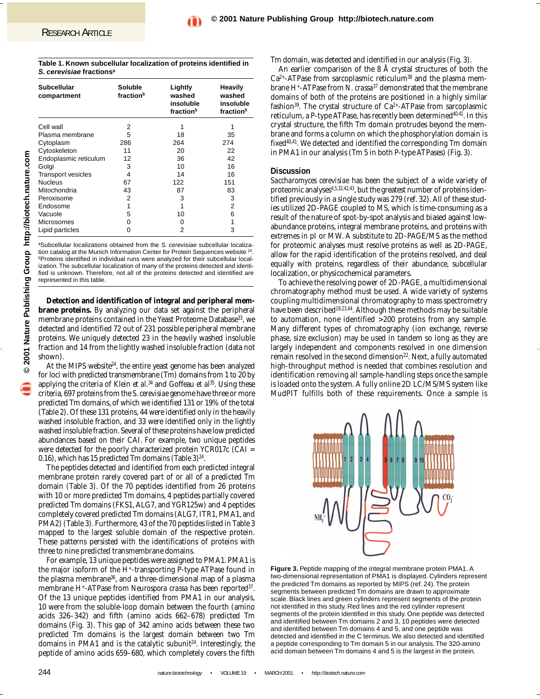| Table 1. Known subcellular localization of proteins identified in |  |
|-------------------------------------------------------------------|--|
| S. cerevisiae fractions <sup>a</sup>                              |  |

| <b>Subcellular</b><br>compartment | Soluble<br>fraction <sup>b</sup> | Lightly<br>washed<br>insoluble | Heavily<br>washed<br>insoluble |  |
|-----------------------------------|----------------------------------|--------------------------------|--------------------------------|--|
|                                   |                                  | fraction <sup>b</sup>          | fraction <sup>b</sup>          |  |
| Cell wall                         | 2                                |                                |                                |  |
| Plasma membrane                   | 5                                | 18                             | 35                             |  |
| Cytoplasm                         | 286                              | 264                            | 274                            |  |
| Cytoskeleton                      | 11                               | 20                             | 22                             |  |
| Endoplasmic reticulum             | 12                               | 36                             | 42                             |  |
| Golgi                             | 3                                | 10                             | 16                             |  |
| <b>Transport vesicles</b>         | 4                                | 14                             | 16                             |  |
| <b>Nucleus</b>                    | 67                               | 122                            | 151                            |  |
| Mitochondria                      | 43                               | 87                             | 83                             |  |
| Peroxisome                        | 2                                | 3                              | 3                              |  |
| Endosome                          |                                  |                                | 2                              |  |
| Vacuole                           | 5                                | 10                             | 6                              |  |
| Microsomes                        | 0                                | 0                              | 1                              |  |
| Lipid particles                   | 0                                | 2                              | 3                              |  |

aSubcellular localizations obtained from the S. cerevisiae subcellular localization catalog at the Munich Information Center for Protein Sequences website <sup>2</sup> **PProteins identified in individual runs were analyzed for their subcellular local**ization. The subcellular localization of many of the proteins detected and identified is unknown. Therefore, not all of the proteins detected and identified are represented in this table.

**Detection and identification of integral and peripheral membrane proteins.** By analyzing our data set against the peripheral membrane proteins contained in the Yeast Proteome Database<sup>33</sup>, we detected and identified 72 out of 231 possible peripheral membrane proteins. We uniquely detected 23 in the heavily washed insoluble fraction and 14 from the lightly washed insoluble fraction (data not shown).

At the MIPS website $24$ , the entire yeast genome has been analyzed for loci with predicted transmembrane (Tm) domains from 1 to 20 by applying the criteria of Klein *et al.*<sup>34</sup> and Goffeau *et al*<sup>55</sup>. Using these criteria, 697 proteins from the *S. cerevisiae* genome have three or more predicted Tm domains, of which we identified 131 or 19% of the total (Table 2). Of these 131 proteins, 44 were identified only in the heavily washed insoluble fraction, and 33 were identified only in the lightly washed insoluble fraction. Several of these proteins have low predicted abundances based on their CAI. For example, two unique peptides were detected for the poorly characterized protein YCR017c (CAI = 0.16), which has 15 predicted Tm domains (Table 3) $^{24}$ .

The peptides detected and identified from each predicted integral membrane protein rarely covered part of or all of a predicted Tm domain (Table 3). Of the 70 peptides identified from 26 proteins with 10 or more predicted Tm domains, 4 peptides partially covered predicted Tm domains (FKS1, ALG7, and YGR125w) and 4 peptides completely covered predicted Tm domains (ALG7, ITR1, PMA1, and PMA2) (Table 3). Furthermore, 43 of the 70 peptides listed in Table 3 mapped to the largest soluble domain of the respective protein. These patterns persisted with the identifications of proteins with three to nine predicted transmembrane domains.

For example, 13 unique peptides were assigned to PMA1. PMA1 is the major isoform of the H+-transporting P-type ATPase found in the plasma membrane36, and a three-dimensional map of a plasma membrane H<sup>+</sup>-ATPase from *Neurospora crassa* has been reported<sup>37</sup>. Of the 13 unique peptides identified from PMA1 in our analysis, 10 were from the soluble-loop domain between the fourth (amino acids 326–342) and fifth (amino acids 662–678) predicted Tm domains (Fig. 3). This gap of 342 amino acids between these two predicted Tm domains is the largest domain between two Tm domains in PMA1 and is the catalytic subunit<sup>24</sup>. Interestingly, the peptide of amino acids 659–680, which completely covers the fifth

Tm domain, was detected and identified in our analysis (Fig. 3).

An earlier comparison of the 8 Å crystal structures of both the  $Ca<sup>2+</sup>-ATPase$  from sarcoplasmic reticulum<sup>38</sup> and the plasma membrane H+-ATPase from *N. crassa*<sup>37</sup> demonstrated that the membrane domains of both of the proteins are positioned in a highly similar fashion<sup>39</sup>. The crystal structure of  $Ca^{2+}-ATP$ ase from sarcoplasmic reticulum, a P-type ATPase, has recently been determined<sup>40,41</sup>. In this crystal structure, the fifth Tm domain protrudes beyond the membrane and forms a column on which the phosphorylation domain is fixed<sup>40,41</sup>. We detected and identified the corresponding Tm domain in PMA1 in our analysis (Tm 5 in both P-type ATPases) (Fig. 3).

### **Discussion**

*Saccharomyces cerevisiae* has been the subject of a wide variety of proteomic analyses<sup>4,5,32,42,43</sup>, but the greatest number of proteins identified previously in a single study was 279 (ref. 32). All of these studies utilized 2D-PAGE coupled to MS, which is time-consuming as a result of the nature of spot-by-spot analysis and biased against lowabundance proteins, integral membrane proteins, and proteins with extremes in pI or MW. A substitute to 2D-PAGE/MS as the method for proteomic analyses must resolve proteins as well as 2D-PAGE, allow for the rapid identification of the proteins resolved, and deal equally with proteins, regardless of their abundance, subcellular localization, or physicochemical parameters.

To achieve the resolving power of 2D-PAGE, a multidimensional chromatography method must be used. A wide variety of systems coupling multidimensional chromatography to mass spectrometry have been described19,23,44. Although these methods may be suitable to automation, none identified >200 proteins from any sample. Many different types of chromatography (ion exchange, reverse phase, size exclusion) may be used in tandem so long as they are largely independent and components resolved in one dimension remain resolved in the second dimension<sup>22</sup>. Next, a fully automated high-throughput method is needed that combines resolution and identification removing all sample-handling steps once the sample is loaded onto the system. A fully online 2D LC/MS/MS system like MudPIT fulfills both of these requirements. Once a sample is



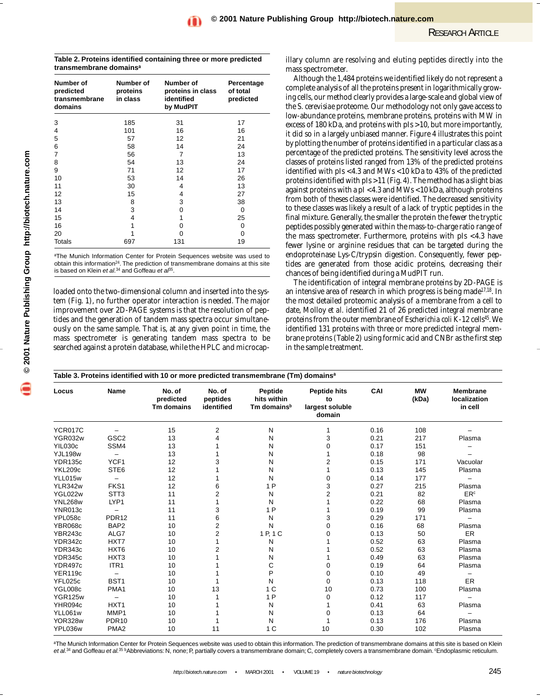**Table 2. Proteins identified containing three or more predicted transmembrane domainsa**

| Number of<br>predicted<br>transmembrane<br>domains | Number of<br>proteins<br>in class | Number of<br>proteins in class<br>identified<br>by MudPIT | Percentage<br>of total<br>predicted |
|----------------------------------------------------|-----------------------------------|-----------------------------------------------------------|-------------------------------------|
| 3                                                  | 185                               | 31                                                        | 17                                  |
| 4                                                  | 101                               | 16                                                        | 16                                  |
| 5                                                  | 57                                | 12                                                        | 21                                  |
| 6                                                  | 58                                | 14                                                        | 24                                  |
| 7                                                  | 56                                | 7                                                         | 13                                  |
| 8                                                  | 54                                | 13                                                        | 24                                  |
| 9                                                  | 71                                | 12                                                        | 17                                  |
| 10                                                 | 53                                | 14                                                        | 26                                  |
| 11                                                 | 30                                | 4                                                         | 13                                  |
| 12                                                 | 15                                | 4                                                         | 27                                  |
| 13                                                 | 8                                 | 3                                                         | 38                                  |
| 14                                                 | 3                                 | 0                                                         | $\Omega$                            |
| 15                                                 | 4                                 | 1                                                         | 25                                  |
| 16                                                 | 1                                 | 0                                                         | 0                                   |
| 20                                                 |                                   | 0                                                         | $\Omega$                            |
| Totals                                             | 697                               | 131                                                       | 19                                  |

aThe Munich Information Center for Protein Sequences website was used to obtain this information<sup>24</sup>. The prediction of transmembrane domains at this site is based on Klein et al.<sup>34</sup> and Goffeau et  $a^{05}$ .

loaded onto the two-dimensional column and inserted into the system (Fig. 1), no further operator interaction is needed. The major improvement over 2D-PAGE systems is that the resolution of peptides and the generation of tandem mass spectra occur simultaneously on the same sample. That is, at any given point in time, the mass spectrometer is generating tandem mass spectra to be searched against a protein database, while the HPLC and microcap-

illary column are resolving and eluting peptides directly into the mass spectrometer.

Although the 1,484 proteins we identified likely do not represent a complete analysis of all the proteins present in logarithmically growing cells, our method clearly provides a large-scale and global view of the *S. cerevisiae* proteome. Our methodology not only gave access to low-abundance proteins, membrane proteins, proteins with MW in excess of 180 kDa, and proteins with pIs >10, but more importantly, it did so in a largely unbiased manner. Figure 4 illustrates this point by plotting the number of proteins identified in a particular class as a percentage of the predicted proteins. The sensitivity level across the classes of proteins listed ranged from 13% of the predicted proteins identified with pIs <4.3 and MWs <10 kDa to 43% of the predicted proteins identified with pIs >11 (Fig. 4). The method has a slight bias against proteins with a pI <4.3 and MWs <10 kDa, although proteins from both of theses classes were identified. The decreased sensitivity to these classes was likely a result of a lack of tryptic peptides in the final mixture. Generally, the smaller the protein the fewer the tryptic peptides possibly generated within the mass-to-charge ratio range of the mass spectrometer. Furthermore, proteins with pIs <4.3 have fewer lysine or arginine residues that can be targeted during the endoproteinase Lys-C/trypsin digestion. Consequently, fewer peptides are generated from those acidic proteins, decreasing their chances of being identified during a MudPIT run.

The identification of integral membrane proteins by 2D-PAGE is an intensive area of research in which progress is being made17,18. In the most detailed proteomic analysis of a membrane from a cell to date, Molloy *et al.* identified 21 of 26 predicted integral membrane proteins from the outer membrane of *Escherichia coli* K-12 cells<sup>45</sup>. We identified 131 proteins with three or more predicted integral membrane proteins (Table 2) using formic acid and CNBr as the first step in the sample treatment.

| Locus          | Name                     | No. of<br>predicted<br>Tm domains | No. of<br>peptides<br>identified | Peptide<br>hits within<br>Tm domains <sup>b</sup> | <b>Peptide hits</b><br>to<br>largest soluble<br>domain | CAI  | <b>MW</b><br>(kDa) | <b>Membrane</b><br>localization<br>in cell |
|----------------|--------------------------|-----------------------------------|----------------------------------|---------------------------------------------------|--------------------------------------------------------|------|--------------------|--------------------------------------------|
| <b>YCR017C</b> |                          | 15                                | 2                                | Ν                                                 | 1                                                      | 0.16 | 108                |                                            |
| YGR032w        | GSC <sub>2</sub>         | 13                                | 4                                | N                                                 | 3                                                      | 0.21 | 217                | Plasma                                     |
| YIL030c        | SSM4                     | 13                                |                                  | N                                                 | 0                                                      | 0.17 | 151                |                                            |
| <b>YJL198w</b> | $\overline{\phantom{m}}$ | 13                                |                                  | Ν                                                 |                                                        | 0.18 | 98                 |                                            |
| <b>YDR135c</b> | YCF1                     | 12                                |                                  | N                                                 | 2                                                      | 0.15 | 171                | Vacuolar                                   |
| YKL209c        | STE <sub>6</sub>         | 12                                |                                  | N                                                 |                                                        | 0.13 | 145                | Plasma                                     |
| YLL015w        |                          | 12                                |                                  | N                                                 | 0                                                      | 0.14 | 177                |                                            |
| YLR342w        | FKS1                     | 12                                | 6                                | 1P                                                | 3                                                      | 0.27 | 215                | Plasma                                     |
| YGL022w        | STT <sub>3</sub>         | 11                                | 2                                | N                                                 | $\overline{2}$                                         | 0.21 | 82                 | <b>ER</b> <sup>c</sup>                     |
| <b>YNL268w</b> | LYP1                     | 11                                |                                  | N                                                 |                                                        | 0.22 | 68                 | Plasma                                     |
| <b>YNR013c</b> |                          | 11                                | 3                                | 1P                                                |                                                        | 0.19 | 99                 | Plasma                                     |
| YPL058c        | <b>PDR12</b>             | 11                                | 6                                | N                                                 | 3                                                      | 0.29 | 171                |                                            |
| YBR068c        | BAP <sub>2</sub>         | 10                                | 2                                | N                                                 | 0                                                      | 0.16 | 68                 | Plasma                                     |
| YBR243c        | ALG7                     | 10                                | $\overline{2}$                   | 1 P, 1 C                                          | 0                                                      | 0.13 | 50                 | ER                                         |
| YDR342c        | HXT7                     | 10                                |                                  | N                                                 |                                                        | 0.52 | 63                 | Plasma                                     |
| YDR343c        | HXT <sub>6</sub>         | 10                                |                                  | N                                                 |                                                        | 0.52 | 63                 | Plasma                                     |
| YDR345c        | HXT <sub>3</sub>         | 10                                |                                  | N                                                 |                                                        | 0.49 | 63                 | Plasma                                     |
| YDR497c        | ITR1                     | 10                                |                                  | C                                                 | 0                                                      | 0.19 | 64                 | Plasma                                     |
| <b>YER119c</b> | $\overline{\phantom{m}}$ | 10                                |                                  | P                                                 | 0                                                      | 0.10 | 49                 |                                            |
| YFL025c        | BST <sub>1</sub>         | 10                                |                                  | N                                                 | 0                                                      | 0.13 | 118                | <b>ER</b>                                  |
| YGL008c        | PMA1                     | 10                                | 13                               | 1 <sup>C</sup>                                    | 10                                                     | 0.73 | 100                | Plasma                                     |
| YGR125w        |                          | 10                                |                                  | 1P                                                | 0                                                      | 0.12 | 117                |                                            |
| YHR094c        | HXT <sub>1</sub>         | 10                                |                                  | Ν                                                 |                                                        | 0.41 | 63                 | Plasma                                     |
| YLL061w        | MMP1                     | 10                                |                                  | Ν                                                 | U                                                      | 0.13 | 64                 |                                            |
| <b>YOR328w</b> | PDR <sub>10</sub>        | 10                                |                                  | N                                                 |                                                        | 0.13 | 176                | Plasma                                     |
| YPL036w        | PMA <sub>2</sub>         | 10                                | 11                               | 1 <sup>C</sup>                                    | 10                                                     | 0.30 | 102                | Plasma                                     |

<sup>a</sup>The Munich Information Center for Protein Sequences website was used to obtain this information. The prediction of transmembrane domains at this site is based on Klein et al.<sup>34</sup> and Goffeau et al.<sup>35 b</sup>Abbreviations: N, none; P, partially covers a transmembrane domain; C, completely covers a transmembrane domain. <sup>c</sup>Endoplasmic reticulum.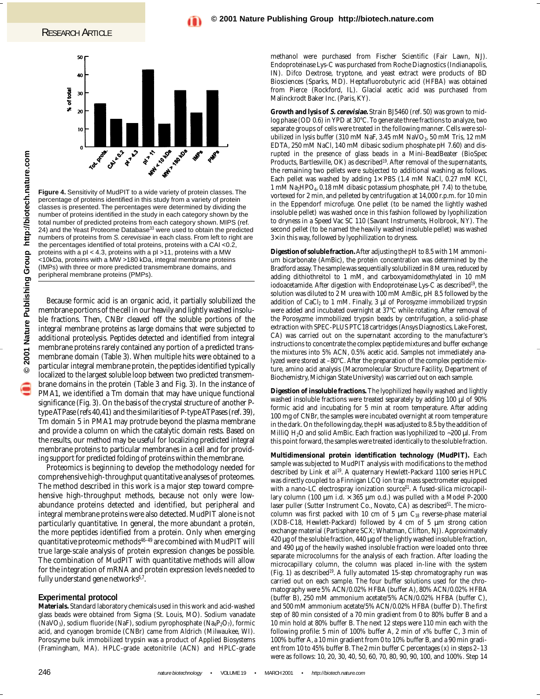

**Figure 4.** Sensitivity of MudPIT to a wide variety of protein classes. The percentage of proteins identified in this study from a variety of protein classes is presented. The percentages were determined by dividing the number of proteins identified in the study in each category shown by the total number of predicted proteins from each category shown. MIPS (ref. 24) and the Yeast Proteome Database<sup>33</sup> were used to obtain the predicted numbers of proteins from S. cerevisiae in each class. From left to right are the percentages identified of total proteins, proteins with a CAI <0.2, proteins with a pI < 4.3, proteins with a pI >11, proteins with a MW <10kDa, proteins with a MW >180 kDa, integral membrane proteins (IMPs) with three or more predicted transmembrane domains, and peripheral membrane proteins (PMPs).

Because formic acid is an organic acid, it partially solubilized the membrane portions of the cell in our heavily and lightly washed insoluble fractions. Then, CNBr cleaved off the soluble portions of the integral membrane proteins as large domains that were subjected to additional proteolysis. Peptides detected and identified from integral membrane proteins rarely contained any portion of a predicted transmembrane domain (Table 3). When multiple hits were obtained to a particular integral membrane protein, the peptides identified typically localized to the largest soluble loop between two predicted transmembrane domains in the protein (Table 3 and Fig. 3). In the instance of PMA1, we identified a Tm domain that may have unique functional significance (Fig. 3). On the basis of the crystal structure of another Ptype ATPase (refs 40,41) and the similarities of P-type ATPases (ref. 39), Tm domain 5 in PMA1 may protrude beyond the plasma membrane and provide a column on which the catalytic domain rests. Based on the results, our method may be useful for localizing predicted integral membrane proteins to particular membranes in a cell and for providing support for predicted folding of proteins within the membrane.

Proteomics is beginning to develop the methodology needed for comprehensive high-throughput quantitative analyses of proteomes. The method described in this work is a major step toward comprehensive high-throughput methods, because not only were lowabundance proteins detected and identified, but peripheral and integral membrane proteins were also detected. MudPIT alone is not particularly quantitative. In general, the more abundant a protein, the more peptides identified from a protein. Only when emerging quantitative proteomic methods46–49 are combined with MudPIT will true large-scale analysis of protein expression changes be possible. The combination of MudPIT with quantitative methods will allow for the integration of mRNA and protein expression levels needed to fully understand gene networks<sup>6,7</sup>.

## **Experimental protocol**

**Materials.** Standard laboratory chemicals used in this work and acid-washed glass beads were obtained from Sigma (St. Louis, MO). Sodium vanadate (NaVO<sub>3</sub>), sodium fluoride (NaF), sodium pyrophosphate (Na<sub>4</sub>P<sub>2</sub>O<sub>7</sub>), formic acid, and cyanogen bromide (CNBr) came from Aldrich (Milwaukee, WI). Poroszyme bulk immobilized trypsin was a product of Applied Biosystems (Framingham, MA). HPLC-grade acetonitrile (ACN) and HPLC-grade methanol were purchased from Fischer Scientific (Fair Lawn, NJ). Endoproteinase Lys-C was purchased from Roche Diagnostics (Indianapolis, IN). Difco Dextrose, tryptone, and yeast extract were products of BD Biosciences (Sparks, MD). Heptafluorobutyric acid (HFBA) was obtained from Pierce (Rockford, IL). Glacial acetic acid was purchased from Malinckrodt Baker Inc. (Paris, KY).

**Growth and lysis of S. cerevisiae.** Strain BJ5460 (ref. 50) was grown to midlog phase (OD 0.6) in YPD at 30°C. To generate three fractions to analyze, two separate groups of cells were treated in the following manner. Cells were solubilized in lysis buffer (310 mM NaF, 3.45 mM NaVO<sub>3</sub>, 50 mM Tris, 12 mM EDTA, 250 mM NaCl, 140 mM dibasic sodium phosphate pH 7.60) and disrupted in the presence of glass beads in a Mini-BeadBeater (BioSpec Products, Bartlesville, OK) as described<sup>19</sup>. After removal of the supernatants, the remaining two pellets were subjected to additional washing as follows. Each pellet was washed by adding  $1 \times$  PBS (1.4 mM NaCl, 0.27 mM KCl, 1 mM Na2HPO4, 0.18 mM dibasic potassium phosphate, pH 7.4) to the tube, vortexed for 2 min, and pelleted by centrifugation at 14,000 r.p.m. for 10 min in the Eppendorf microfuge. One pellet (to be named the lightly washed insoluble pellet) was washed once in this fashion followed by lyophilization to dryness in a Speed Vac SC 110 (Savant Instruments, Holbrook, NY). The second pellet (to be named the heavily washed insoluble pellet) was washed 3× in this way, followed by lyophilization to dryness.

**Digestion of soluble fraction.**After adjusting the pH to 8.5 with 1 M ammonium bicarbonate (AmBic), the protein concentration was determined by the Bradford assay. The sample was sequentially solubilized in 8 M urea, reduced by adding dithiothreitol to 1 mM, and carboxyamidomethylated in 10 mM iodoacetamide. After digestion with Endoproteinase Lys-C as described<sup>19</sup>, the solution was diluted to 2 M urea with 100 mM AmBic, pH 8.5 followed by the addition of  $CaCl<sub>2</sub>$  to 1 mM. Finally, 3  $\mu$ l of Porosyzme immobilized trypsin were added and incubated overnight at 37°C while rotating. After removal of the Porosyzme immobilized trypsin beads by centrifugation, a solid-phase extraction with SPEC-PLUS PTC18 cartridges (Ansys Diagnostics, Lake Forest, CA) was carried out on the supernatant according to the manufacturer's instructions to concentrate the complex peptide mixtures and buffer exchange the mixtures into 5% ACN, 0.5% acetic acid. Samples not immediately analyzed were stored at –80°C. After the preparation of the complex peptide mixture, amino acid analysis (Macromolecular Structure Facility, Department of Biochemistry, Michigan State University) was carried out on each sample.

**Digestion of insoluble fractions.** The lyophilized heavily washed and lightly washed insoluble fractions were treated separately by adding 100 µl of 90% formic acid and incubating for 5 min at room temperature. After adding 100 mg of CNBr, the samples were incubated overnight at room temperature in the dark. On the following day, the pH was adjusted to 8.5 by the addition of MilliQ H<sub>2</sub>O and solid AmBic. Each fraction was lyophilized to ~200 μl. From this point forward, the samples were treated identically to the soluble fraction.

**Multidimensional protein identification technology (MudPIT).** Each sample was subjected to MudPIT analysis with modifications to the method described by Link *et al*<sup>19</sup>. A quaternary Hewlett-Packard 1100 series HPLC was directly coupled to a Finnigan LCQ ion trap mass spectrometer equipped with a nano-LC electrospray ionization source<sup>51</sup>. A fused-silica microcapillary column (100  $\mu$ m i.d.  $\times$  365  $\mu$ m o.d.) was pulled with a Model P-2000 laser puller (Sutter Instrument Co., Novato, CA) as described<sup>51</sup>. The microcolumn was first packed with 10 cm of 5  $\mu$ m C<sub>18</sub> reverse-phase material (XDB-C18, Hewlett-Packard) followed by 4 cm of 5 µm strong cation exchange material (Partisphere SCX; Whatman, Clifton, NJ). Approximately 420 µg of the soluble fraction, 440 µg of the lightly washed insoluble fraction, and 490 µg of the heavily washed insoluble fraction were loaded onto three separate microcolumns for the analysis of each fraction. After loading the microcapillary column, the column was placed in-line with the system (Fig. 1) as described<sup>19</sup>. A fully automated 15-step chromatography run was carried out on each sample. The four buffer solutions used for the chromatography were 5% ACN/0.02% HFBA (buffer A), 80% ACN/0.02% HFBA (buffer B), 250 mM ammonium acetate/5% ACN/0.02% HFBA (buffer C), and 500 mM ammonium acetate/5% ACN/0.02% HFBA (buffer D). The first step of 80 min consisted of a 70 min gradient from 0 to 80% buffer B and a 10 min hold at 80% buffer B. The next 12 steps were 110 min each with the following profile: 5 min of 100% buffer A, 2 min of *x*% buffer C, 3 min of 100% buffer A, a 10 min gradient from 0 to 10% buffer B, and a 90 min gradient from 10 to 45% buffer B. The 2 min buffer C percentages (*x*) in steps 2–13 were as follows: 10, 20, 30, 40, 50, 60, 70, 80, 90, 90, 100, and 100%. Step 14